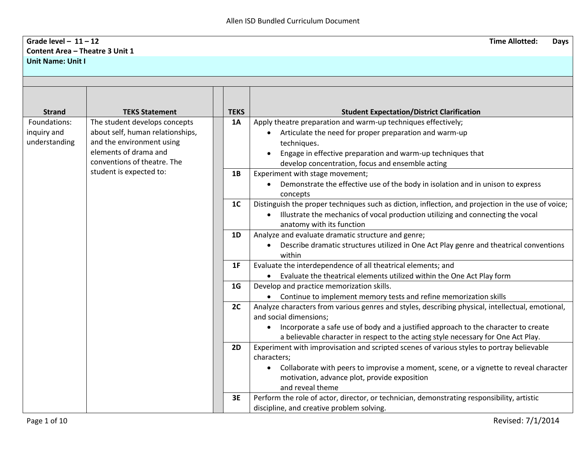## **Grade level – 11 – 12 Time Allotted: Days Content Area – Theatre 3 Unit 1 Unit Name: Unit I**

| <b>Strand</b> | <b>TEKS Statement</b>            | <b>TEKS</b>    | <b>Student Expectation/District Clarification</b>                                                                          |
|---------------|----------------------------------|----------------|----------------------------------------------------------------------------------------------------------------------------|
| Foundations:  | The student develops concepts    | <b>1A</b>      | Apply theatre preparation and warm-up techniques effectively;                                                              |
| inquiry and   | about self, human relationships, |                | Articulate the need for proper preparation and warm-up                                                                     |
| understanding | and the environment using        |                | techniques.                                                                                                                |
|               | elements of drama and            |                | Engage in effective preparation and warm-up techniques that                                                                |
|               | conventions of theatre. The      |                | develop concentration, focus and ensemble acting                                                                           |
|               | student is expected to:          | 1B             | Experiment with stage movement;                                                                                            |
|               |                                  |                | Demonstrate the effective use of the body in isolation and in unison to express<br>concepts                                |
|               |                                  | 1 <sub>C</sub> | Distinguish the proper techniques such as diction, inflection, and projection in the use of voice;                         |
|               |                                  |                | Illustrate the mechanics of vocal production utilizing and connecting the vocal<br>$\bullet$                               |
|               |                                  |                | anatomy with its function                                                                                                  |
|               |                                  | 1 <sub>D</sub> | Analyze and evaluate dramatic structure and genre;                                                                         |
|               |                                  |                | Describe dramatic structures utilized in One Act Play genre and theatrical conventions<br>$\bullet$                        |
|               |                                  |                | within                                                                                                                     |
|               |                                  | 1F             | Evaluate the interdependence of all theatrical elements; and                                                               |
|               |                                  |                | Evaluate the theatrical elements utilized within the One Act Play form                                                     |
|               |                                  | 1 <sub>G</sub> | Develop and practice memorization skills.                                                                                  |
|               |                                  |                | Continue to implement memory tests and refine memorization skills                                                          |
|               |                                  | 2C             | Analyze characters from various genres and styles, describing physical, intellectual, emotional,<br>and social dimensions; |
|               |                                  |                | Incorporate a safe use of body and a justified approach to the character to create<br>$\bullet$                            |
|               |                                  |                | a believable character in respect to the acting style necessary for One Act Play.                                          |
|               |                                  | 2D             | Experiment with improvisation and scripted scenes of various styles to portray believable                                  |
|               |                                  |                | characters;                                                                                                                |
|               |                                  |                | Collaborate with peers to improvise a moment, scene, or a vignette to reveal character                                     |
|               |                                  |                | motivation, advance plot, provide exposition                                                                               |
|               |                                  |                | and reveal theme                                                                                                           |
|               |                                  | 3E             | Perform the role of actor, director, or technician, demonstrating responsibility, artistic                                 |
|               |                                  |                | discipline, and creative problem solving.                                                                                  |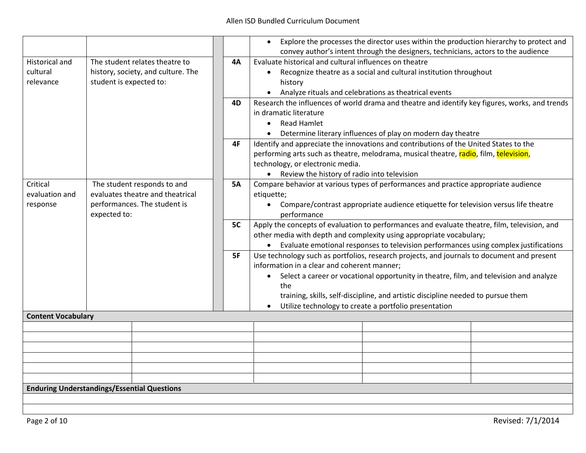|                                                    |                         |                                    |           |            |                                                                                       | Explore the processes the director uses within the production hierarchy to protect and         |  |  |
|----------------------------------------------------|-------------------------|------------------------------------|-----------|------------|---------------------------------------------------------------------------------------|------------------------------------------------------------------------------------------------|--|--|
|                                                    |                         |                                    |           |            |                                                                                       | convey author's intent through the designers, technicians, actors to the audience              |  |  |
| <b>Historical and</b>                              |                         | The student relates theatre to     | <b>4A</b> |            | Evaluate historical and cultural influences on theatre                                |                                                                                                |  |  |
| cultural                                           |                         | history, society, and culture. The |           | $\bullet$  |                                                                                       | Recognize theatre as a social and cultural institution throughout                              |  |  |
| relevance                                          | student is expected to: |                                    |           |            | history                                                                               |                                                                                                |  |  |
|                                                    |                         |                                    |           | $\bullet$  |                                                                                       | Analyze rituals and celebrations as theatrical events                                          |  |  |
|                                                    |                         |                                    | 4D        |            | in dramatic literature                                                                | Research the influences of world drama and theatre and identify key figures, works, and trends |  |  |
|                                                    |                         |                                    |           |            | <b>Read Hamlet</b>                                                                    |                                                                                                |  |  |
|                                                    |                         |                                    |           | $\bullet$  |                                                                                       |                                                                                                |  |  |
|                                                    |                         |                                    |           |            |                                                                                       | Determine literary influences of play on modern day theatre                                    |  |  |
|                                                    |                         |                                    | 4F        |            | Identify and appreciate the innovations and contributions of the United States to the |                                                                                                |  |  |
|                                                    |                         |                                    |           |            |                                                                                       | performing arts such as theatre, melodrama, musical theatre, radio, film, television,          |  |  |
|                                                    |                         |                                    |           |            | technology, or electronic media.                                                      |                                                                                                |  |  |
|                                                    |                         |                                    |           |            | • Review the history of radio into television                                         |                                                                                                |  |  |
| Critical                                           |                         | The student responds to and        | <b>5A</b> |            |                                                                                       | Compare behavior at various types of performances and practice appropriate audience            |  |  |
| evaluation and                                     |                         | evaluates theatre and theatrical   |           | etiquette; |                                                                                       |                                                                                                |  |  |
| response                                           |                         | performances. The student is       |           | $\bullet$  |                                                                                       | Compare/contrast appropriate audience etiquette for television versus life theatre             |  |  |
|                                                    | expected to:            |                                    |           |            | performance                                                                           |                                                                                                |  |  |
|                                                    |                         |                                    | 5C        |            |                                                                                       | Apply the concepts of evaluation to performances and evaluate theatre, film, television, and   |  |  |
|                                                    |                         |                                    |           |            |                                                                                       | other media with depth and complexity using appropriate vocabulary;                            |  |  |
|                                                    |                         |                                    |           |            |                                                                                       | • Evaluate emotional responses to television performances using complex justifications         |  |  |
|                                                    |                         |                                    | 5F        |            |                                                                                       | Use technology such as portfolios, research projects, and journals to document and present     |  |  |
|                                                    |                         |                                    |           |            | information in a clear and coherent manner;                                           |                                                                                                |  |  |
|                                                    |                         |                                    |           | $\bullet$  |                                                                                       | Select a career or vocational opportunity in theatre, film, and television and analyze         |  |  |
|                                                    |                         |                                    |           |            | the                                                                                   |                                                                                                |  |  |
|                                                    |                         |                                    |           |            |                                                                                       | training, skills, self-discipline, and artistic discipline needed to pursue them               |  |  |
|                                                    |                         |                                    |           |            |                                                                                       | Utilize technology to create a portfolio presentation                                          |  |  |
| <b>Content Vocabulary</b>                          |                         |                                    |           |            |                                                                                       |                                                                                                |  |  |
|                                                    |                         |                                    |           |            |                                                                                       |                                                                                                |  |  |
|                                                    |                         |                                    |           |            |                                                                                       |                                                                                                |  |  |
|                                                    |                         |                                    |           |            |                                                                                       |                                                                                                |  |  |
|                                                    |                         |                                    |           |            |                                                                                       |                                                                                                |  |  |
|                                                    |                         |                                    |           |            |                                                                                       |                                                                                                |  |  |
|                                                    |                         |                                    |           |            |                                                                                       |                                                                                                |  |  |
| <b>Enduring Understandings/Essential Questions</b> |                         |                                    |           |            |                                                                                       |                                                                                                |  |  |
|                                                    |                         |                                    |           |            |                                                                                       |                                                                                                |  |  |
|                                                    |                         |                                    |           |            |                                                                                       |                                                                                                |  |  |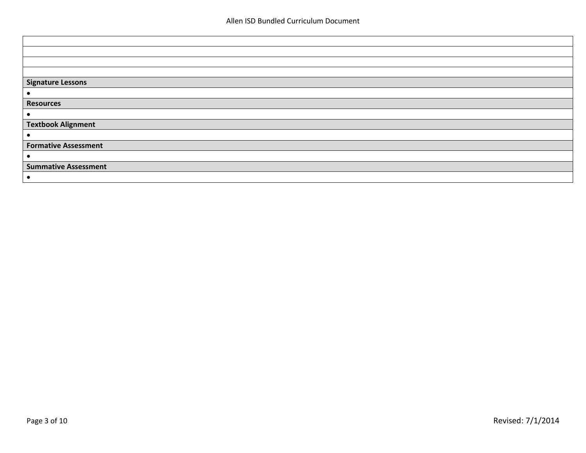| <b>Signature Lessons</b>    |
|-----------------------------|
| $\bullet$                   |
| <b>Resources</b>            |
| $\bullet$                   |
| <b>Textbook Alignment</b>   |
| $\bullet$                   |
| <b>Formative Assessment</b> |
| $\bullet$                   |
| <b>Summative Assessment</b> |
| $\bullet$                   |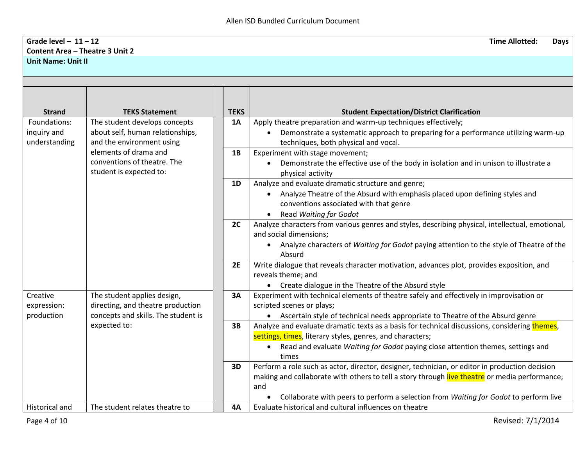## **Grade level – 11 – 12 Time Allotted: Days Content Area – Theatre 3 Unit 2 Unit Name: Unit II**

| <b>Strand</b>                                | <b>TEKS Statement</b>                                                                                   | <b>TEKS</b> | <b>Student Expectation/District Clarification</b>                                                                                                                                                                                                                                              |
|----------------------------------------------|---------------------------------------------------------------------------------------------------------|-------------|------------------------------------------------------------------------------------------------------------------------------------------------------------------------------------------------------------------------------------------------------------------------------------------------|
| Foundations:<br>inquiry and<br>understanding | The student develops concepts<br>about self, human relationships,<br>and the environment using          | 1A          | Apply theatre preparation and warm-up techniques effectively;<br>Demonstrate a systematic approach to preparing for a performance utilizing warm-up<br>techniques, both physical and vocal.                                                                                                    |
|                                              | elements of drama and<br>conventions of theatre. The<br>student is expected to:                         | 1B          | Experiment with stage movement;<br>Demonstrate the effective use of the body in isolation and in unison to illustrate a<br>physical activity                                                                                                                                                   |
|                                              |                                                                                                         | 1D          | Analyze and evaluate dramatic structure and genre;<br>Analyze Theatre of the Absurd with emphasis placed upon defining styles and<br>conventions associated with that genre<br>Read Waiting for Godot                                                                                          |
|                                              |                                                                                                         | 2C          | Analyze characters from various genres and styles, describing physical, intellectual, emotional,<br>and social dimensions;<br>• Analyze characters of Waiting for Godot paying attention to the style of Theatre of the<br>Absurd                                                              |
|                                              |                                                                                                         | 2E          | Write dialogue that reveals character motivation, advances plot, provides exposition, and<br>reveals theme; and<br>• Create dialogue in the Theatre of the Absurd style                                                                                                                        |
| Creative<br>expression:<br>production        | The student applies design,<br>directing, and theatre production<br>concepts and skills. The student is | 3A          | Experiment with technical elements of theatre safely and effectively in improvisation or<br>scripted scenes or plays;<br>• Ascertain style of technical needs appropriate to Theatre of the Absurd genre                                                                                       |
|                                              | expected to:                                                                                            | 3B          | Analyze and evaluate dramatic texts as a basis for technical discussions, considering themes,<br>settings, times, literary styles, genres, and characters;<br>Read and evaluate Waiting for Godot paying close attention themes, settings and<br>times                                         |
|                                              |                                                                                                         | 3D          | Perform a role such as actor, director, designer, technician, or editor in production decision<br>making and collaborate with others to tell a story through live theatre or media performance;<br>and<br>Collaborate with peers to perform a selection from Waiting for Godot to perform live |
| <b>Historical and</b>                        | The student relates theatre to                                                                          | <b>4A</b>   | Evaluate historical and cultural influences on theatre                                                                                                                                                                                                                                         |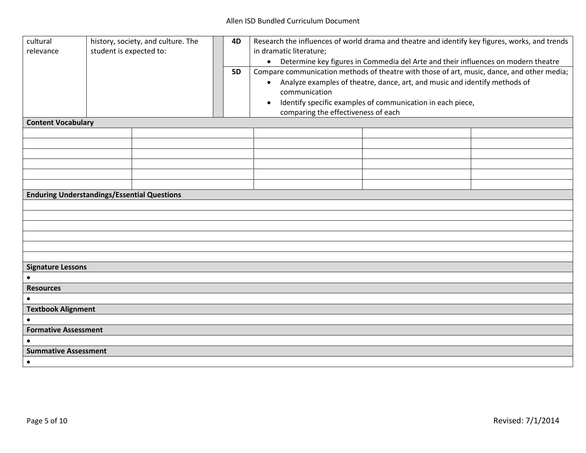## Allen ISD Bundled Curriculum Document

| cultural<br>history, society, and culture. The<br>student is expected to:<br>relevance | 4D<br><b>5D</b> | Research the influences of world drama and theatre and identify key figures, works, and trends<br>in dramatic literature;<br>• Determine key figures in Commedia del Arte and their influences on modern theatre<br>Compare communication methods of theatre with those of art, music, dance, and other media;<br>Analyze examples of theatre, dance, art, and music and identify methods of<br>$\bullet$<br>communication<br>Identify specific examples of communication in each piece,<br>$\bullet$<br>comparing the effectiveness of each |  |  |
|----------------------------------------------------------------------------------------|-----------------|----------------------------------------------------------------------------------------------------------------------------------------------------------------------------------------------------------------------------------------------------------------------------------------------------------------------------------------------------------------------------------------------------------------------------------------------------------------------------------------------------------------------------------------------|--|--|
| <b>Content Vocabulary</b>                                                              |                 |                                                                                                                                                                                                                                                                                                                                                                                                                                                                                                                                              |  |  |
|                                                                                        |                 |                                                                                                                                                                                                                                                                                                                                                                                                                                                                                                                                              |  |  |
|                                                                                        |                 |                                                                                                                                                                                                                                                                                                                                                                                                                                                                                                                                              |  |  |
|                                                                                        |                 |                                                                                                                                                                                                                                                                                                                                                                                                                                                                                                                                              |  |  |
|                                                                                        |                 |                                                                                                                                                                                                                                                                                                                                                                                                                                                                                                                                              |  |  |
|                                                                                        |                 |                                                                                                                                                                                                                                                                                                                                                                                                                                                                                                                                              |  |  |
| <b>Enduring Understandings/Essential Questions</b>                                     |                 |                                                                                                                                                                                                                                                                                                                                                                                                                                                                                                                                              |  |  |
|                                                                                        |                 |                                                                                                                                                                                                                                                                                                                                                                                                                                                                                                                                              |  |  |
|                                                                                        |                 |                                                                                                                                                                                                                                                                                                                                                                                                                                                                                                                                              |  |  |
|                                                                                        |                 |                                                                                                                                                                                                                                                                                                                                                                                                                                                                                                                                              |  |  |
|                                                                                        |                 |                                                                                                                                                                                                                                                                                                                                                                                                                                                                                                                                              |  |  |
|                                                                                        |                 |                                                                                                                                                                                                                                                                                                                                                                                                                                                                                                                                              |  |  |
|                                                                                        |                 |                                                                                                                                                                                                                                                                                                                                                                                                                                                                                                                                              |  |  |
| <b>Signature Lessons</b>                                                               |                 |                                                                                                                                                                                                                                                                                                                                                                                                                                                                                                                                              |  |  |
|                                                                                        |                 |                                                                                                                                                                                                                                                                                                                                                                                                                                                                                                                                              |  |  |
| <b>Resources</b>                                                                       |                 |                                                                                                                                                                                                                                                                                                                                                                                                                                                                                                                                              |  |  |
| <b>Textbook Alignment</b>                                                              |                 |                                                                                                                                                                                                                                                                                                                                                                                                                                                                                                                                              |  |  |
|                                                                                        |                 |                                                                                                                                                                                                                                                                                                                                                                                                                                                                                                                                              |  |  |
| <b>Formative Assessment</b>                                                            |                 |                                                                                                                                                                                                                                                                                                                                                                                                                                                                                                                                              |  |  |
|                                                                                        |                 |                                                                                                                                                                                                                                                                                                                                                                                                                                                                                                                                              |  |  |
| <b>Summative Assessment</b>                                                            |                 |                                                                                                                                                                                                                                                                                                                                                                                                                                                                                                                                              |  |  |
| $\bullet$                                                                              |                 |                                                                                                                                                                                                                                                                                                                                                                                                                                                                                                                                              |  |  |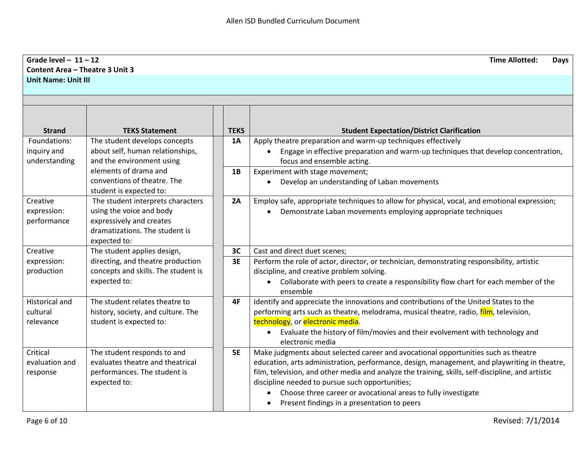| Grade level $-11-12$<br><b>Content Area - Theatre 3 Unit 3</b> |                                                                                                                                             |             | <b>Time Allotted:</b><br><b>Days</b>                                                                                                                                                                                                                                                                                                                                                                                                                       |
|----------------------------------------------------------------|---------------------------------------------------------------------------------------------------------------------------------------------|-------------|------------------------------------------------------------------------------------------------------------------------------------------------------------------------------------------------------------------------------------------------------------------------------------------------------------------------------------------------------------------------------------------------------------------------------------------------------------|
| <b>Unit Name: Unit III</b>                                     |                                                                                                                                             |             |                                                                                                                                                                                                                                                                                                                                                                                                                                                            |
|                                                                |                                                                                                                                             |             |                                                                                                                                                                                                                                                                                                                                                                                                                                                            |
| <b>Strand</b>                                                  | <b>TEKS Statement</b>                                                                                                                       | <b>TEKS</b> | <b>Student Expectation/District Clarification</b>                                                                                                                                                                                                                                                                                                                                                                                                          |
| Foundations:<br>inquiry and<br>understanding                   | The student develops concepts<br>about self, human relationships,<br>and the environment using                                              | 1A          | Apply theatre preparation and warm-up techniques effectively<br>Engage in effective preparation and warm-up techniques that develop concentration,<br>focus and ensemble acting.                                                                                                                                                                                                                                                                           |
|                                                                | elements of drama and<br>conventions of theatre. The<br>student is expected to:                                                             | 1B          | Experiment with stage movement;<br>Develop an understanding of Laban movements<br>$\bullet$                                                                                                                                                                                                                                                                                                                                                                |
| Creative<br>expression:<br>performance                         | The student interprets characters<br>using the voice and body<br>expressively and creates<br>dramatizations. The student is<br>expected to: | 2A          | Employ safe, appropriate techniques to allow for physical, vocal, and emotional expression;<br>Demonstrate Laban movements employing appropriate techniques                                                                                                                                                                                                                                                                                                |
| Creative                                                       | The student applies design,                                                                                                                 | 3C          | Cast and direct duet scenes;                                                                                                                                                                                                                                                                                                                                                                                                                               |
| expression:<br>production                                      | directing, and theatre production<br>concepts and skills. The student is<br>expected to:                                                    | 3E          | Perform the role of actor, director, or technician, demonstrating responsibility, artistic<br>discipline, and creative problem solving.<br>Collaborate with peers to create a responsibility flow chart for each member of the<br>ensemble                                                                                                                                                                                                                 |
| <b>Historical and</b><br>cultural<br>relevance                 | The student relates theatre to<br>history, society, and culture. The<br>student is expected to:                                             | 4F          | Identify and appreciate the innovations and contributions of the United States to the<br>performing arts such as theatre, melodrama, musical theatre, radio, film, television,<br>technology, or electronic media.<br>• Evaluate the history of film/movies and their evolvement with technology and<br>electronic media                                                                                                                                   |
| Critical<br>evaluation and<br>response                         | The student responds to and<br>evaluates theatre and theatrical<br>performances. The student is<br>expected to:                             | <b>5E</b>   | Make judgments about selected career and avocational opportunities such as theatre<br>education, arts administration, performance, design, management, and playwriting in theatre,<br>film, television, and other media and analyze the training, skills, self-discipline, and artistic<br>discipline needed to pursue such opportunities;<br>Choose three career or avocational areas to fully investigate<br>Present findings in a presentation to peers |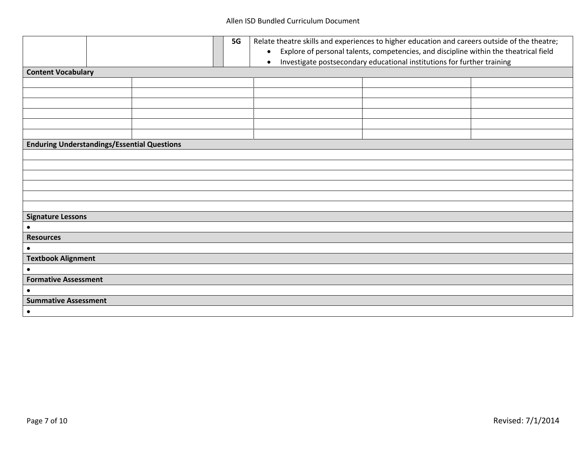|                                                    | <b>5G</b> | Relate theatre skills and experiences to higher education and careers outside of the theatre;<br>Explore of personal talents, competencies, and discipline within the theatrical field<br>$\bullet$<br>Investigate postsecondary educational institutions for further training<br>$\bullet$ |  |  |
|----------------------------------------------------|-----------|---------------------------------------------------------------------------------------------------------------------------------------------------------------------------------------------------------------------------------------------------------------------------------------------|--|--|
| <b>Content Vocabulary</b>                          |           |                                                                                                                                                                                                                                                                                             |  |  |
|                                                    |           |                                                                                                                                                                                                                                                                                             |  |  |
|                                                    |           |                                                                                                                                                                                                                                                                                             |  |  |
|                                                    |           |                                                                                                                                                                                                                                                                                             |  |  |
|                                                    |           |                                                                                                                                                                                                                                                                                             |  |  |
|                                                    |           |                                                                                                                                                                                                                                                                                             |  |  |
|                                                    |           |                                                                                                                                                                                                                                                                                             |  |  |
| <b>Enduring Understandings/Essential Questions</b> |           |                                                                                                                                                                                                                                                                                             |  |  |
|                                                    |           |                                                                                                                                                                                                                                                                                             |  |  |
|                                                    |           |                                                                                                                                                                                                                                                                                             |  |  |
|                                                    |           |                                                                                                                                                                                                                                                                                             |  |  |
|                                                    |           |                                                                                                                                                                                                                                                                                             |  |  |
|                                                    |           |                                                                                                                                                                                                                                                                                             |  |  |
|                                                    |           |                                                                                                                                                                                                                                                                                             |  |  |
| <b>Signature Lessons</b>                           |           |                                                                                                                                                                                                                                                                                             |  |  |
| $\bullet$                                          |           |                                                                                                                                                                                                                                                                                             |  |  |
| <b>Resources</b>                                   |           |                                                                                                                                                                                                                                                                                             |  |  |
| $\bullet$                                          |           |                                                                                                                                                                                                                                                                                             |  |  |
| <b>Textbook Alignment</b>                          |           |                                                                                                                                                                                                                                                                                             |  |  |
| $\bullet$                                          |           |                                                                                                                                                                                                                                                                                             |  |  |
| <b>Formative Assessment</b>                        |           |                                                                                                                                                                                                                                                                                             |  |  |
|                                                    |           |                                                                                                                                                                                                                                                                                             |  |  |
| <b>Summative Assessment</b>                        |           |                                                                                                                                                                                                                                                                                             |  |  |
| $\bullet$                                          |           |                                                                                                                                                                                                                                                                                             |  |  |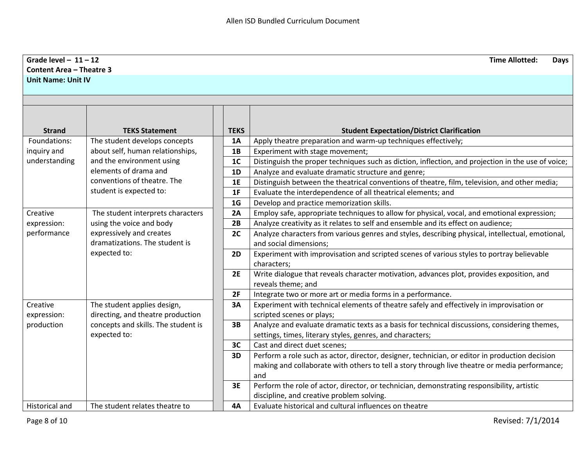| Grade level $-11-12$            |                                                            |                | <b>Time Allotted:</b><br><b>Days</b>                                                                                       |
|---------------------------------|------------------------------------------------------------|----------------|----------------------------------------------------------------------------------------------------------------------------|
| <b>Content Area - Theatre 3</b> |                                                            |                |                                                                                                                            |
| <b>Unit Name: Unit IV</b>       |                                                            |                |                                                                                                                            |
|                                 |                                                            |                |                                                                                                                            |
|                                 |                                                            |                |                                                                                                                            |
|                                 |                                                            |                |                                                                                                                            |
|                                 |                                                            |                |                                                                                                                            |
| <b>Strand</b>                   | <b>TEKS Statement</b>                                      | <b>TEKS</b>    | <b>Student Expectation/District Clarification</b>                                                                          |
| Foundations:                    | The student develops concepts                              | <b>1A</b>      | Apply theatre preparation and warm-up techniques effectively;                                                              |
| inquiry and                     | about self, human relationships,                           | 1B             | Experiment with stage movement;                                                                                            |
| understanding                   | and the environment using<br>elements of drama and         | 1 <sub>C</sub> | Distinguish the proper techniques such as diction, inflection, and projection in the use of voice;                         |
|                                 |                                                            | 1D             | Analyze and evaluate dramatic structure and genre;                                                                         |
|                                 | conventions of theatre. The                                | 1E             | Distinguish between the theatrical conventions of theatre, film, television, and other media;                              |
|                                 | student is expected to:                                    | 1F             | Evaluate the interdependence of all theatrical elements; and                                                               |
|                                 |                                                            | 1 <sub>G</sub> | Develop and practice memorization skills.                                                                                  |
| Creative                        | The student interprets characters                          | 2A             | Employ safe, appropriate techniques to allow for physical, vocal, and emotional expression;                                |
| expression:                     | using the voice and body                                   | 2B             | Analyze creativity as it relates to self and ensemble and its effect on audience;                                          |
| performance                     | expressively and creates<br>dramatizations. The student is | 2C             | Analyze characters from various genres and styles, describing physical, intellectual, emotional,<br>and social dimensions; |
|                                 | expected to:                                               | 2D             | Experiment with improvisation and scripted scenes of various styles to portray believable                                  |
|                                 |                                                            |                | characters;                                                                                                                |
|                                 |                                                            | 2E             | Write dialogue that reveals character motivation, advances plot, provides exposition, and                                  |
|                                 |                                                            |                | reveals theme; and                                                                                                         |
|                                 |                                                            | 2F             | Integrate two or more art or media forms in a performance.                                                                 |
| Creative                        | The student applies design,                                | 3A             | Experiment with technical elements of theatre safely and effectively in improvisation or                                   |
| expression:                     | directing, and theatre production                          |                | scripted scenes or plays;                                                                                                  |
| production                      | concepts and skills. The student is                        | 3B             | Analyze and evaluate dramatic texts as a basis for technical discussions, considering themes,                              |
|                                 | expected to:                                               |                | settings, times, literary styles, genres, and characters;                                                                  |
|                                 |                                                            | 3C             | Cast and direct duet scenes;                                                                                               |
|                                 |                                                            | 3D             | Perform a role such as actor, director, designer, technician, or editor in production decision                             |
|                                 |                                                            |                | making and collaborate with others to tell a story through live theatre or media performance;                              |
|                                 |                                                            |                | and                                                                                                                        |
|                                 |                                                            | 3E             | Perform the role of actor, director, or technician, demonstrating responsibility, artistic                                 |
|                                 |                                                            |                | discipline, and creative problem solving.                                                                                  |
| <b>Historical and</b>           | The student relates theatre to                             | 4A             | Evaluate historical and cultural influences on theatre                                                                     |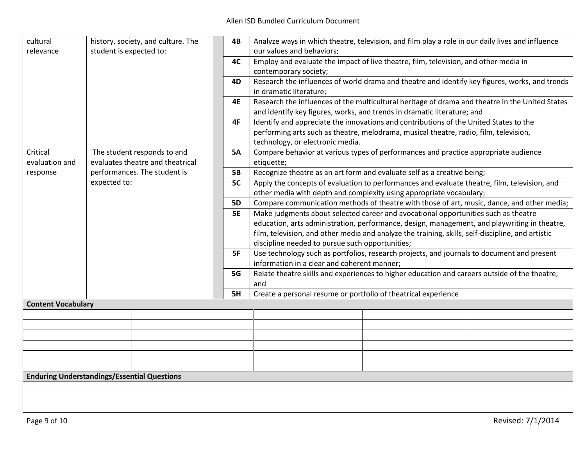| cultural<br>relevance                                                                         | history, society, and culture. The<br>student is expected to: |                              | 4B                                                                                                                                                                                                                                                                                                                                         | Analyze ways in which theatre, television, and film play a role in our daily lives and influence<br>our values and behaviors;                                                                                      |  |  |
|-----------------------------------------------------------------------------------------------|---------------------------------------------------------------|------------------------------|--------------------------------------------------------------------------------------------------------------------------------------------------------------------------------------------------------------------------------------------------------------------------------------------------------------------------------------------|--------------------------------------------------------------------------------------------------------------------------------------------------------------------------------------------------------------------|--|--|
|                                                                                               |                                                               | 4C                           | Employ and evaluate the impact of live theatre, film, television, and other media in<br>contemporary society;                                                                                                                                                                                                                              |                                                                                                                                                                                                                    |  |  |
|                                                                                               |                                                               |                              | 4D                                                                                                                                                                                                                                                                                                                                         | Research the influences of world drama and theatre and identify key figures, works, and trends<br>in dramatic literature;                                                                                          |  |  |
|                                                                                               |                                                               |                              | <b>4E</b>                                                                                                                                                                                                                                                                                                                                  | Research the influences of the multicultural heritage of drama and theatre in the United States<br>and identify key figures, works, and trends in dramatic literature; and                                         |  |  |
|                                                                                               |                                                               |                              | 4F                                                                                                                                                                                                                                                                                                                                         | Identify and appreciate the innovations and contributions of the United States to the<br>performing arts such as theatre, melodrama, musical theatre, radio, film, television,<br>technology, or electronic media. |  |  |
| Critical<br>The student responds to and<br>evaluates theatre and theatrical<br>evaluation and |                                                               | <b>5A</b>                    | Compare behavior at various types of performances and practice appropriate audience<br>etiquette;                                                                                                                                                                                                                                          |                                                                                                                                                                                                                    |  |  |
| response                                                                                      |                                                               | performances. The student is | <b>5B</b>                                                                                                                                                                                                                                                                                                                                  | Recognize theatre as an art form and evaluate self as a creative being;                                                                                                                                            |  |  |
|                                                                                               | expected to:                                                  |                              | 5C                                                                                                                                                                                                                                                                                                                                         | Apply the concepts of evaluation to performances and evaluate theatre, film, television, and<br>other media with depth and complexity using appropriate vocabulary;                                                |  |  |
|                                                                                               |                                                               |                              | <b>5D</b>                                                                                                                                                                                                                                                                                                                                  | Compare communication methods of theatre with those of art, music, dance, and other media;                                                                                                                         |  |  |
|                                                                                               |                                                               | <b>5E</b>                    | Make judgments about selected career and avocational opportunities such as theatre<br>education, arts administration, performance, design, management, and playwriting in theatre,<br>film, television, and other media and analyze the training, skills, self-discipline, and artistic<br>discipline needed to pursue such opportunities; |                                                                                                                                                                                                                    |  |  |
|                                                                                               |                                                               |                              | 5F                                                                                                                                                                                                                                                                                                                                         | Use technology such as portfolios, research projects, and journals to document and present<br>information in a clear and coherent manner;                                                                          |  |  |
|                                                                                               |                                                               |                              | 5G                                                                                                                                                                                                                                                                                                                                         | Relate theatre skills and experiences to higher education and careers outside of the theatre;<br>and                                                                                                               |  |  |
|                                                                                               |                                                               |                              | 5H                                                                                                                                                                                                                                                                                                                                         | Create a personal resume or portfolio of theatrical experience                                                                                                                                                     |  |  |
| <b>Content Vocabulary</b>                                                                     |                                                               |                              |                                                                                                                                                                                                                                                                                                                                            |                                                                                                                                                                                                                    |  |  |
|                                                                                               |                                                               |                              |                                                                                                                                                                                                                                                                                                                                            |                                                                                                                                                                                                                    |  |  |
|                                                                                               |                                                               |                              |                                                                                                                                                                                                                                                                                                                                            |                                                                                                                                                                                                                    |  |  |
|                                                                                               |                                                               |                              |                                                                                                                                                                                                                                                                                                                                            |                                                                                                                                                                                                                    |  |  |
|                                                                                               |                                                               |                              |                                                                                                                                                                                                                                                                                                                                            |                                                                                                                                                                                                                    |  |  |
|                                                                                               |                                                               |                              |                                                                                                                                                                                                                                                                                                                                            |                                                                                                                                                                                                                    |  |  |
|                                                                                               |                                                               |                              |                                                                                                                                                                                                                                                                                                                                            |                                                                                                                                                                                                                    |  |  |
| <b>Enduring Understandings/Essential Questions</b>                                            |                                                               |                              |                                                                                                                                                                                                                                                                                                                                            |                                                                                                                                                                                                                    |  |  |
|                                                                                               |                                                               |                              |                                                                                                                                                                                                                                                                                                                                            |                                                                                                                                                                                                                    |  |  |
|                                                                                               |                                                               |                              |                                                                                                                                                                                                                                                                                                                                            |                                                                                                                                                                                                                    |  |  |